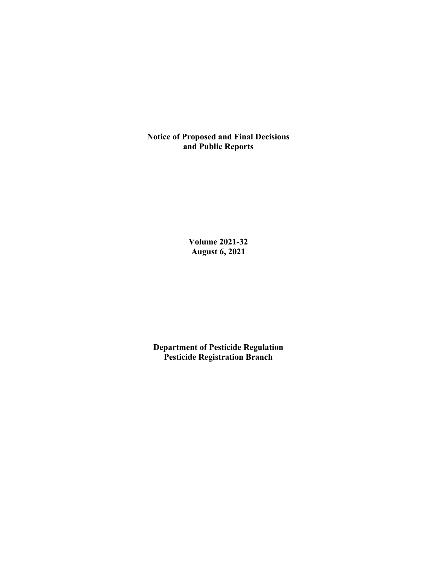**Notice of Proposed and Final Decisions and Public Reports**

> **Volume 2021-32 August 6, 2021**

**Department of Pesticide Regulation Pesticide Registration Branch**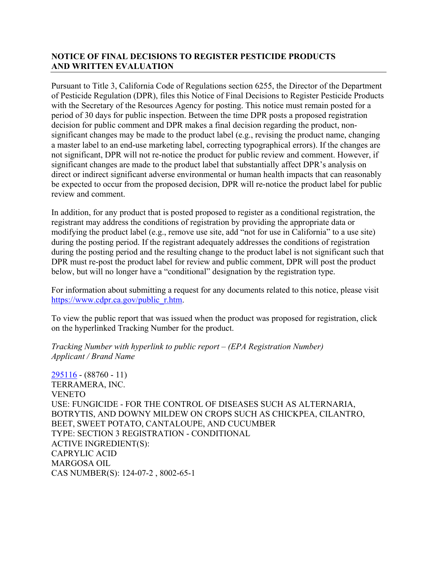# **NOTICE OF FINAL DECISIONS TO REGISTER PESTICIDE PRODUCTS AND WRITTEN EVALUATION**

Pursuant to Title 3, California Code of Regulations section 6255, the Director of the Department of Pesticide Regulation (DPR), files this Notice of Final Decisions to Register Pesticide Products with the Secretary of the Resources Agency for posting. This notice must remain posted for a period of 30 days for public inspection. Between the time DPR posts a proposed registration decision for public comment and DPR makes a final decision regarding the product, nonsignificant changes may be made to the product label (e.g., revising the product name, changing a master label to an end-use marketing label, correcting typographical errors). If the changes are not significant, DPR will not re-notice the product for public review and comment. However, if significant changes are made to the product label that substantially affect DPR's analysis on direct or indirect significant adverse environmental or human health impacts that can reasonably be expected to occur from the proposed decision, DPR will re-notice the product label for public review and comment.

In addition, for any product that is posted proposed to register as a conditional registration, the registrant may address the conditions of registration by providing the appropriate data or modifying the product label (e.g., remove use site, add "not for use in California" to a use site) during the posting period. If the registrant adequately addresses the conditions of registration during the posting period and the resulting change to the product label is not significant such that DPR must re-post the product label for review and public comment, DPR will post the product below, but will no longer have a "conditional" designation by the registration type.

For information about submitting a request for any documents related to this notice, please visit [https://www.cdpr.ca.gov/public\\_r.htm.](https://www.cdpr.ca.gov/public_r.htm)

To view the public report that was issued when the product was proposed for registration, click on the hyperlinked Tracking Number for the product.

#### *Tracking Number with hyperlink to public report – (EPA Registration Number) Applicant / Brand Name*

[295116](https://www.cdpr.ca.gov/docs/registration/nod/public_reports/295116.pdf) - (88760 - 11) TERRAMERA, INC. **VENETO** USE: FUNGICIDE - FOR THE CONTROL OF DISEASES SUCH AS ALTERNARIA, BOTRYTIS, AND DOWNY MILDEW ON CROPS SUCH AS CHICKPEA, CILANTRO, BEET, SWEET POTATO, CANTALOUPE, AND CUCUMBER TYPE: SECTION 3 REGISTRATION - CONDITIONAL ACTIVE INGREDIENT(S): CAPRYLIC ACID MARGOSA OIL CAS NUMBER(S): 124-07-2 , 8002-65-1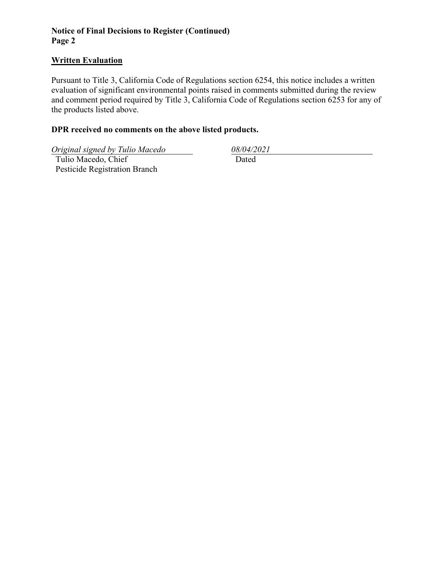# **Notice of Final Decisions to Register (Continued) Page 2**

# **Written Evaluation**

Pursuant to Title 3, California Code of Regulations section 6254, this notice includes a written evaluation of significant environmental points raised in comments submitted during the review and comment period required by Title 3, California Code of Regulations section 6253 for any of the products listed above.

# **DPR received no comments on the above listed products.**

*Original signed by Tulio Macedo 08/04/2021*

 Tulio Macedo, Chief Pesticide Registration Branch

Dated